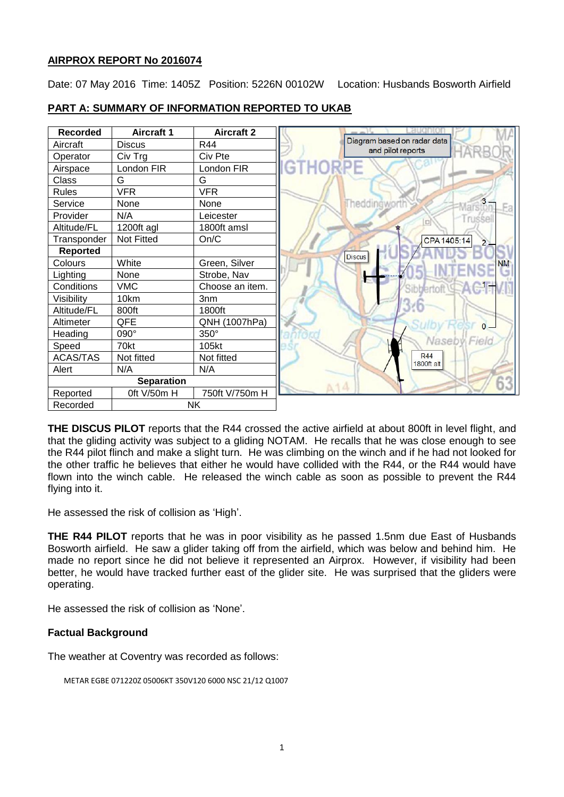# **AIRPROX REPORT No 2016074**

Date: 07 May 2016 Time: 1405Z Position: 5226N 00102W Location: Husbands Bosworth Airfield



## **PART A: SUMMARY OF INFORMATION REPORTED TO UKAB**

**THE DISCUS PILOT** reports that the R44 crossed the active airfield at about 800ft in level flight, and that the gliding activity was subject to a gliding NOTAM. He recalls that he was close enough to see the R44 pilot flinch and make a slight turn. He was climbing on the winch and if he had not looked for the other traffic he believes that either he would have collided with the R44, or the R44 would have flown into the winch cable. He released the winch cable as soon as possible to prevent the R44 flying into it.

He assessed the risk of collision as 'High'.

**THE R44 PILOT** reports that he was in poor visibility as he passed 1.5nm due East of Husbands Bosworth airfield. He saw a glider taking off from the airfield, which was below and behind him. He made no report since he did not believe it represented an Airprox. However, if visibility had been better, he would have tracked further east of the glider site. He was surprised that the gliders were operating.

He assessed the risk of collision as 'None'.

# **Factual Background**

The weather at Coventry was recorded as follows:

METAR EGBE 071220Z 05006KT 350V120 6000 NSC 21/12 Q1007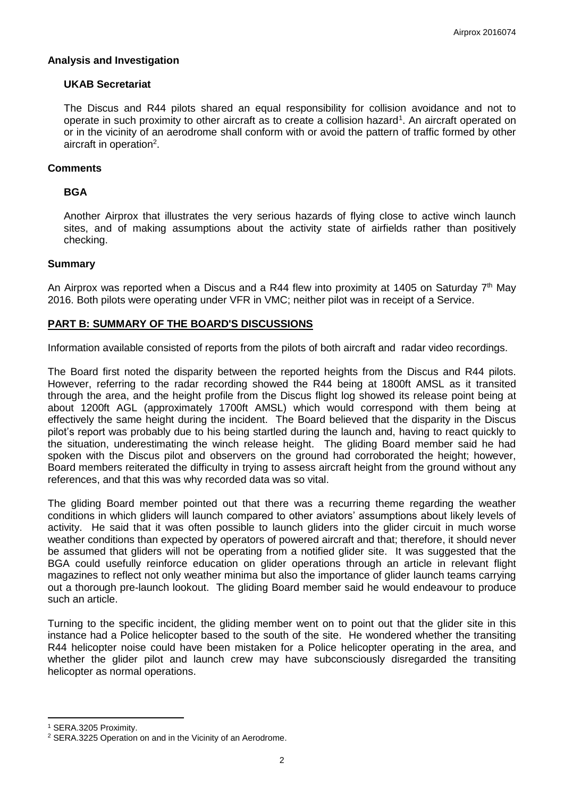### **Analysis and Investigation**

### **UKAB Secretariat**

The Discus and R44 pilots shared an equal responsibility for collision avoidance and not to operate in such proximity to other aircraft as to create a collision hazard<sup>1</sup>. An aircraft operated on or in the vicinity of an aerodrome shall conform with or avoid the pattern of traffic formed by other aircraft in operation<sup>2</sup>.

#### **Comments**

## **BGA**

Another Airprox that illustrates the very serious hazards of flying close to active winch launch sites, and of making assumptions about the activity state of airfields rather than positively checking.

#### **Summary**

An Airprox was reported when a Discus and a R44 flew into proximity at 1405 on Saturday  $7<sup>th</sup>$  May 2016. Both pilots were operating under VFR in VMC; neither pilot was in receipt of a Service.

### **PART B: SUMMARY OF THE BOARD'S DISCUSSIONS**

Information available consisted of reports from the pilots of both aircraft and radar video recordings.

The Board first noted the disparity between the reported heights from the Discus and R44 pilots. However, referring to the radar recording showed the R44 being at 1800ft AMSL as it transited through the area, and the height profile from the Discus flight log showed its release point being at about 1200ft AGL (approximately 1700ft AMSL) which would correspond with them being at effectively the same height during the incident. The Board believed that the disparity in the Discus pilot's report was probably due to his being startled during the launch and, having to react quickly to the situation, underestimating the winch release height. The gliding Board member said he had spoken with the Discus pilot and observers on the ground had corroborated the height; however, Board members reiterated the difficulty in trying to assess aircraft height from the ground without any references, and that this was why recorded data was so vital.

The gliding Board member pointed out that there was a recurring theme regarding the weather conditions in which gliders will launch compared to other aviators' assumptions about likely levels of activity. He said that it was often possible to launch gliders into the glider circuit in much worse weather conditions than expected by operators of powered aircraft and that; therefore, it should never be assumed that gliders will not be operating from a notified glider site. It was suggested that the BGA could usefully reinforce education on glider operations through an article in relevant flight magazines to reflect not only weather minima but also the importance of glider launch teams carrying out a thorough pre-launch lookout. The gliding Board member said he would endeavour to produce such an article.

Turning to the specific incident, the gliding member went on to point out that the glider site in this instance had a Police helicopter based to the south of the site. He wondered whether the transiting R44 helicopter noise could have been mistaken for a Police helicopter operating in the area, and whether the glider pilot and launch crew may have subconsciously disregarded the transiting helicopter as normal operations.

 $\overline{\phantom{a}}$ 

<sup>1</sup> SERA.3205 Proximity.

<sup>2</sup> SERA.3225 Operation on and in the Vicinity of an Aerodrome.